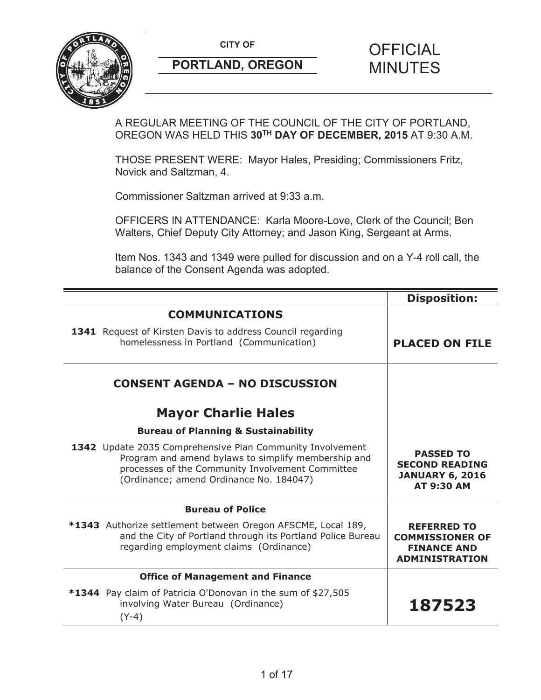

A REGULAR MEETING OF THE COUNCIL OF THE CITY OF PORTLAND, OREGON WAS HELD THIS **30TH DAY OF DECEMBER, 2015** AT 9:30 A.M.

THOSE PRESENT WERE: Mayor Hales, Presiding; Commissioners Fritz, Novick and Saltzman, 4.

Commissioner Saltzman arrived at 9:33 a.m.

OFFICERS IN ATTENDANCE: Karla Moore-Love, Clerk of the Council; Ben Walters, Chief Deputy City Attorney; and Jason King, Sergeant at Arms.

Item Nos. 1343 and 1349 were pulled for discussion and on a Y-4 roll call, the balance of the Consent Agenda was adopted.

|                                                                                                                                                                                                                 | <b>Disposition:</b>                                                                         |
|-----------------------------------------------------------------------------------------------------------------------------------------------------------------------------------------------------------------|---------------------------------------------------------------------------------------------|
| <b>COMMUNICATIONS</b>                                                                                                                                                                                           |                                                                                             |
| 1341 Request of Kirsten Davis to address Council regarding<br>homelessness in Portland (Communication)                                                                                                          | <b>PLACED ON FILE</b>                                                                       |
| <b>CONSENT AGENDA - NO DISCUSSION</b>                                                                                                                                                                           |                                                                                             |
| <b>Mayor Charlie Hales</b>                                                                                                                                                                                      |                                                                                             |
| <b>Bureau of Planning &amp; Sustainability</b>                                                                                                                                                                  |                                                                                             |
| 1342 Update 2035 Comprehensive Plan Community Involvement<br>Program and amend bylaws to simplify membership and<br>processes of the Community Involvement Committee<br>(Ordinance; amend Ordinance No. 184047) | <b>PASSED TO</b><br><b>SECOND READING</b><br><b>JANUARY 6, 2016</b><br><b>AT 9:30 AM</b>    |
| <b>Bureau of Police</b>                                                                                                                                                                                         |                                                                                             |
| *1343 Authorize settlement between Oregon AFSCME, Local 189,<br>and the City of Portland through its Portland Police Bureau<br>regarding employment claims (Ordinance)                                          | <b>REFERRED TO</b><br><b>COMMISSIONER OF</b><br><b>FINANCE AND</b><br><b>ADMINISTRATION</b> |
| <b>Office of Management and Finance</b>                                                                                                                                                                         |                                                                                             |
| *1344 Pay claim of Patricia O'Donovan in the sum of \$27,505<br>involving Water Bureau (Ordinance)<br>$(Y-4)$                                                                                                   | 187523                                                                                      |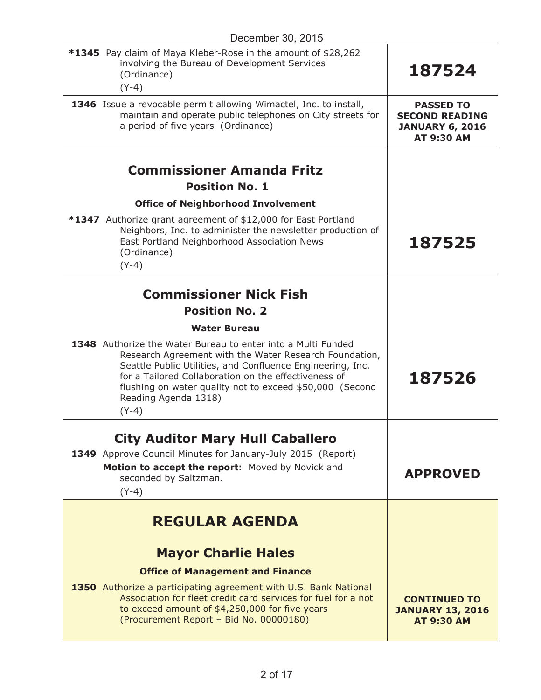| December 30, 2015                                                                                                                                                                                                                                                                                                                           |                                                                                   |
|---------------------------------------------------------------------------------------------------------------------------------------------------------------------------------------------------------------------------------------------------------------------------------------------------------------------------------------------|-----------------------------------------------------------------------------------|
| *1345 Pay claim of Maya Kleber-Rose in the amount of \$28,262<br>involving the Bureau of Development Services<br>(Ordinance)<br>$(Y-4)$                                                                                                                                                                                                     | 187524                                                                            |
| 1346 Issue a revocable permit allowing Wimactel, Inc. to install,<br>maintain and operate public telephones on City streets for<br>a period of five years (Ordinance)                                                                                                                                                                       | <b>PASSED TO</b><br><b>SECOND READING</b><br><b>JANUARY 6, 2016</b><br>AT 9:30 AM |
| <b>Commissioner Amanda Fritz</b>                                                                                                                                                                                                                                                                                                            |                                                                                   |
| <b>Position No. 1</b>                                                                                                                                                                                                                                                                                                                       |                                                                                   |
| <b>Office of Neighborhood Involvement</b>                                                                                                                                                                                                                                                                                                   |                                                                                   |
| *1347 Authorize grant agreement of \$12,000 for East Portland<br>Neighbors, Inc. to administer the newsletter production of<br>East Portland Neighborhood Association News<br>(Ordinance)<br>$(Y-4)$                                                                                                                                        | 187525                                                                            |
|                                                                                                                                                                                                                                                                                                                                             |                                                                                   |
| <b>Commissioner Nick Fish</b>                                                                                                                                                                                                                                                                                                               |                                                                                   |
| <b>Position No. 2</b>                                                                                                                                                                                                                                                                                                                       |                                                                                   |
| <b>Water Bureau</b>                                                                                                                                                                                                                                                                                                                         |                                                                                   |
| 1348 Authorize the Water Bureau to enter into a Multi Funded<br>Research Agreement with the Water Research Foundation,<br>Seattle Public Utilities, and Confluence Engineering, Inc.<br>for a Tailored Collaboration on the effectiveness of<br>flushing on water quality not to exceed \$50,000 (Second<br>Reading Agenda 1318)<br>$(Y-4)$ | 187526                                                                            |
|                                                                                                                                                                                                                                                                                                                                             |                                                                                   |
| <b>City Auditor Mary Hull Caballero</b>                                                                                                                                                                                                                                                                                                     |                                                                                   |
| 1349 Approve Council Minutes for January-July 2015 (Report)<br>Motion to accept the report: Moved by Novick and<br>seconded by Saltzman.<br>$(Y-4)$                                                                                                                                                                                         | <b>APPROVED</b>                                                                   |
| <b>REGULAR AGENDA</b>                                                                                                                                                                                                                                                                                                                       |                                                                                   |
|                                                                                                                                                                                                                                                                                                                                             |                                                                                   |
| <b>Mayor Charlie Hales</b>                                                                                                                                                                                                                                                                                                                  |                                                                                   |
| <b>Office of Management and Finance</b>                                                                                                                                                                                                                                                                                                     |                                                                                   |
| 1350 Authorize a participating agreement with U.S. Bank National<br>Association for fleet credit card services for fuel for a not<br>to exceed amount of \$4,250,000 for five years<br>(Procurement Report - Bid No. 00000180)                                                                                                              | <b>CONTINUED TO</b><br><b>JANUARY 13, 2016</b><br><b>AT 9:30 AM</b>               |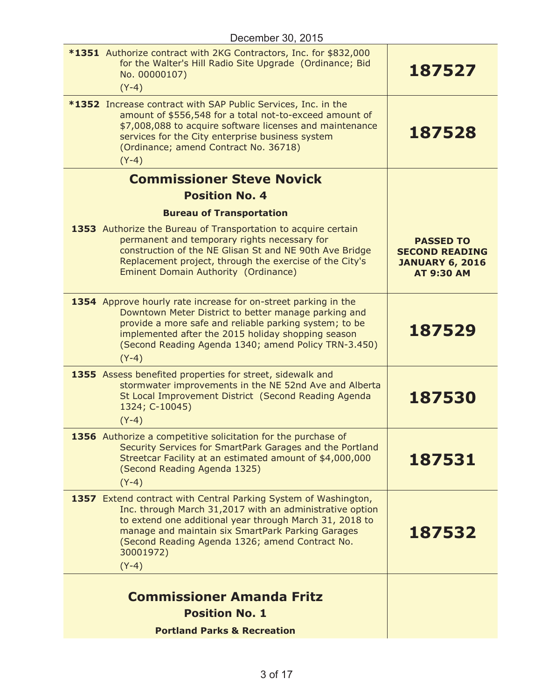| *1351 Authorize contract with 2KG Contractors, Inc. for \$832,000<br>for the Walter's Hill Radio Site Upgrade (Ordinance; Bid<br>No. 00000107)<br>$(Y-4)$                                                                                                                                                              | 187527                                                                                   |
|------------------------------------------------------------------------------------------------------------------------------------------------------------------------------------------------------------------------------------------------------------------------------------------------------------------------|------------------------------------------------------------------------------------------|
| *1352 Increase contract with SAP Public Services, Inc. in the<br>amount of \$556,548 for a total not-to-exceed amount of<br>\$7,008,088 to acquire software licenses and maintenance<br>services for the City enterprise business system<br>(Ordinance; amend Contract No. 36718)<br>$(Y-4)$                           | 187528                                                                                   |
| <b>Commissioner Steve Novick</b>                                                                                                                                                                                                                                                                                       |                                                                                          |
| <b>Position No. 4</b>                                                                                                                                                                                                                                                                                                  |                                                                                          |
| <b>Bureau of Transportation</b><br>1353 Authorize the Bureau of Transportation to acquire certain<br>permanent and temporary rights necessary for<br>construction of the NE Glisan St and NE 90th Ave Bridge<br>Replacement project, through the exercise of the City's<br>Eminent Domain Authority (Ordinance)        | <b>PASSED TO</b><br><b>SECOND READING</b><br><b>JANUARY 6, 2016</b><br><b>AT 9:30 AM</b> |
| 1354 Approve hourly rate increase for on-street parking in the<br>Downtown Meter District to better manage parking and<br>provide a more safe and reliable parking system; to be<br>implemented after the 2015 holiday shopping season<br>(Second Reading Agenda 1340; amend Policy TRN-3.450)<br>$(Y-4)$              | 187529                                                                                   |
| 1355 Assess benefited properties for street, sidewalk and<br>stormwater improvements in the NE 52nd Ave and Alberta<br>St Local Improvement District (Second Reading Agenda<br>1324; C-10045)<br>$(Y-4)$                                                                                                               | 187530                                                                                   |
| 1356 Authorize a competitive solicitation for the purchase of<br>Security Services for SmartPark Garages and the Portland<br>Streetcar Facility at an estimated amount of \$4,000,000<br>(Second Reading Agenda 1325)<br>$(Y-4)$                                                                                       | 187531                                                                                   |
| 1357 Extend contract with Central Parking System of Washington,<br>Inc. through March 31,2017 with an administrative option<br>to extend one additional year through March 31, 2018 to<br>manage and maintain six SmartPark Parking Garages<br>(Second Reading Agenda 1326; amend Contract No.<br>30001972)<br>$(Y-4)$ | 187532                                                                                   |
| <b>Commissioner Amanda Fritz</b><br><b>Position No. 1</b>                                                                                                                                                                                                                                                              |                                                                                          |
| <b>Portland Parks &amp; Recreation</b>                                                                                                                                                                                                                                                                                 |                                                                                          |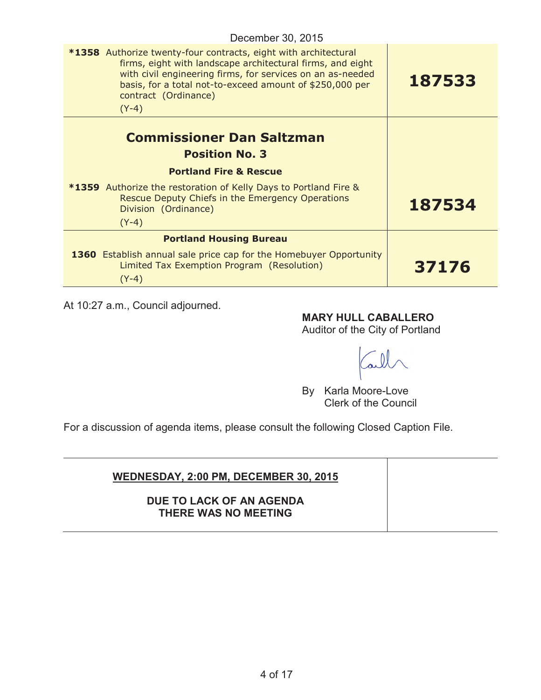| December 30, 2015 |  |  |
|-------------------|--|--|
|-------------------|--|--|

| <b>*1358</b> Authorize twenty-four contracts, eight with architectural<br>firms, eight with landscape architectural firms, and eight<br>with civil engineering firms, for services on an as-needed<br>basis, for a total not-to-exceed amount of \$250,000 per<br>contract (Ordinance)<br>$(Y-4)$ | 187533 |
|---------------------------------------------------------------------------------------------------------------------------------------------------------------------------------------------------------------------------------------------------------------------------------------------------|--------|
| <b>Commissioner Dan Saltzman</b><br><b>Position No. 3</b><br><b>Portland Fire &amp; Rescue</b><br><b>*1359</b> Authorize the restoration of Kelly Days to Portland Fire &<br>Rescue Deputy Chiefs in the Emergency Operations<br>Division (Ordinance)                                             | 187534 |
| $(Y-4)$<br><b>Portland Housing Bureau</b>                                                                                                                                                                                                                                                         |        |
| 1360 Establish annual sale price cap for the Homebuyer Opportunity<br>Limited Tax Exemption Program (Resolution)<br>$(Y-4)$                                                                                                                                                                       | 37176  |

At 10:27 a.m., Council adjourned.

**MARY HULL CABALLERO**

Auditor of the City of Portland

ail

By Karla Moore-Love Clerk of the Council

For a discussion of agenda items, please consult the following Closed Caption File.

| <b>WEDNESDAY, 2:00 PM, DECEMBER 30, 2015</b>     |  |
|--------------------------------------------------|--|
| DUE TO LACK OF AN AGENDA<br>THERE WAS NO MEETING |  |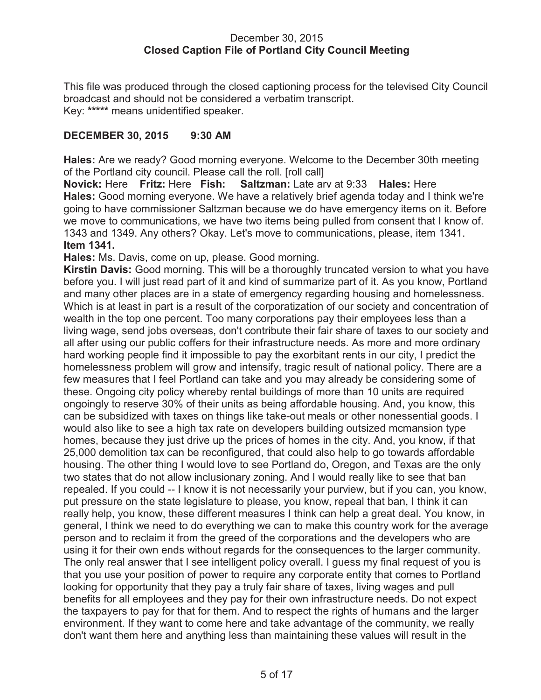#### December 30, 2015 **Closed Caption File of Portland City Council Meeting**

This file was produced through the closed captioning process for the televised City Council broadcast and should not be considered a verbatim transcript. Key: **\*\*\*\*\*** means unidentified speaker.

### **DECEMBER 30, 2015 9:30 AM**

**Hales:** Are we ready? Good morning everyone. Welcome to the December 30th meeting of the Portland city council. Please call the roll. [roll call]

**Novick:** Here **Fritz:** Here **Fish: Saltzman:** Late arv at 9:33 **Hales:** Here **Hales:** Good morning everyone. We have a relatively brief agenda today and I think we're going to have commissioner Saltzman because we do have emergency items on it. Before we move to communications, we have two items being pulled from consent that I know of. 1343 and 1349. Any others? Okay. Let's move to communications, please, item 1341. **Item 1341.**

**Hales:** Ms. Davis, come on up, please. Good morning.

**Kirstin Davis:** Good morning. This will be a thoroughly truncated version to what you have before you. I will just read part of it and kind of summarize part of it. As you know, Portland and many other places are in a state of emergency regarding housing and homelessness. Which is at least in part is a result of the corporatization of our society and concentration of wealth in the top one percent. Too many corporations pay their employees less than a living wage, send jobs overseas, don't contribute their fair share of taxes to our society and all after using our public coffers for their infrastructure needs. As more and more ordinary hard working people find it impossible to pay the exorbitant rents in our city, I predict the homelessness problem will grow and intensify, tragic result of national policy. There are a few measures that I feel Portland can take and you may already be considering some of these. Ongoing city policy whereby rental buildings of more than 10 units are required ongoingly to reserve 30% of their units as being affordable housing. And, you know, this can be subsidized with taxes on things like take-out meals or other nonessential goods. I would also like to see a high tax rate on developers building outsized mcmansion type homes, because they just drive up the prices of homes in the city. And, you know, if that 25,000 demolition tax can be reconfigured, that could also help to go towards affordable housing. The other thing I would love to see Portland do, Oregon, and Texas are the only two states that do not allow inclusionary zoning. And I would really like to see that ban repealed. If you could -- I know it is not necessarily your purview, but if you can, you know, put pressure on the state legislature to please, you know, repeal that ban, I think it can really help, you know, these different measures I think can help a great deal. You know, in general, I think we need to do everything we can to make this country work for the average person and to reclaim it from the greed of the corporations and the developers who are using it for their own ends without regards for the consequences to the larger community. The only real answer that I see intelligent policy overall. I guess my final request of you is that you use your position of power to require any corporate entity that comes to Portland looking for opportunity that they pay a truly fair share of taxes, living wages and pull benefits for all employees and they pay for their own infrastructure needs. Do not expect the taxpayers to pay for that for them. And to respect the rights of humans and the larger environment. If they want to come here and take advantage of the community, we really don't want them here and anything less than maintaining these values will result in the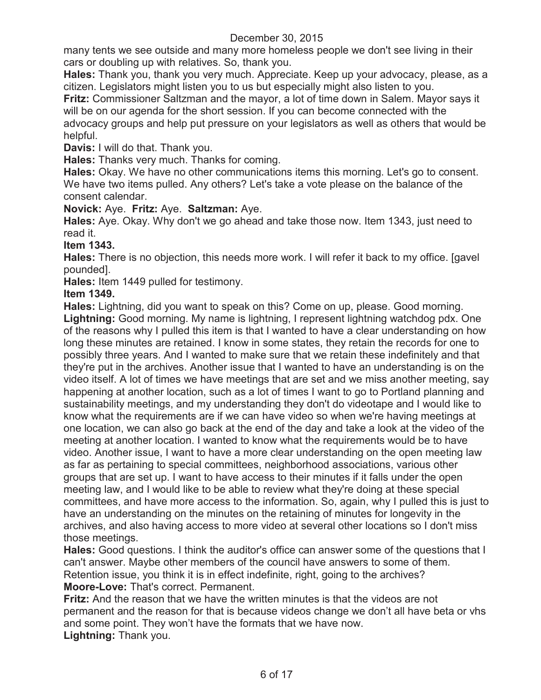many tents we see outside and many more homeless people we don't see living in their cars or doubling up with relatives. So, thank you.

**Hales:** Thank you, thank you very much. Appreciate. Keep up your advocacy, please, as a citizen. Legislators might listen you to us but especially might also listen to you.

**Fritz:** Commissioner Saltzman and the mayor, a lot of time down in Salem. Mayor says it will be on our agenda for the short session. If you can become connected with the

advocacy groups and help put pressure on your legislators as well as others that would be helpful.

**Davis:** I will do that. Thank you.

**Hales:** Thanks very much. Thanks for coming.

**Hales:** Okay. We have no other communications items this morning. Let's go to consent. We have two items pulled. Any others? Let's take a vote please on the balance of the consent calendar.

**Novick:** Aye. **Fritz:** Aye. **Saltzman:** Aye.

**Hales:** Aye. Okay. Why don't we go ahead and take those now. Item 1343, just need to read it.

### **Item 1343.**

**Hales:** There is no objection, this needs more work. I will refer it back to my office. [gavel pounded].

**Hales:** Item 1449 pulled for testimony.

### **Item 1349.**

**Hales:** Lightning, did you want to speak on this? Come on up, please. Good morning. **Lightning:** Good morning. My name is lightning, I represent lightning watchdog pdx. One of the reasons why I pulled this item is that I wanted to have a clear understanding on how long these minutes are retained. I know in some states, they retain the records for one to possibly three years. And I wanted to make sure that we retain these indefinitely and that they're put in the archives. Another issue that I wanted to have an understanding is on the video itself. A lot of times we have meetings that are set and we miss another meeting, say happening at another location, such as a lot of times I want to go to Portland planning and sustainability meetings, and my understanding they don't do videotape and I would like to know what the requirements are if we can have video so when we're having meetings at one location, we can also go back at the end of the day and take a look at the video of the meeting at another location. I wanted to know what the requirements would be to have video. Another issue, I want to have a more clear understanding on the open meeting law as far as pertaining to special committees, neighborhood associations, various other groups that are set up. I want to have access to their minutes if it falls under the open meeting law, and I would like to be able to review what they're doing at these special committees, and have more access to the information. So, again, why I pulled this is just to have an understanding on the minutes on the retaining of minutes for longevity in the archives, and also having access to more video at several other locations so I don't miss those meetings.

**Hales:** Good questions. I think the auditor's office can answer some of the questions that I can't answer. Maybe other members of the council have answers to some of them. Retention issue, you think it is in effect indefinite, right, going to the archives?

**Moore-Love:** That's correct. Permanent.

**Fritz:** And the reason that we have the written minutes is that the videos are not permanent and the reason for that is because videos change we don't all have beta or vhs and some point. They won't have the formats that we have now. **Lightning:** Thank you.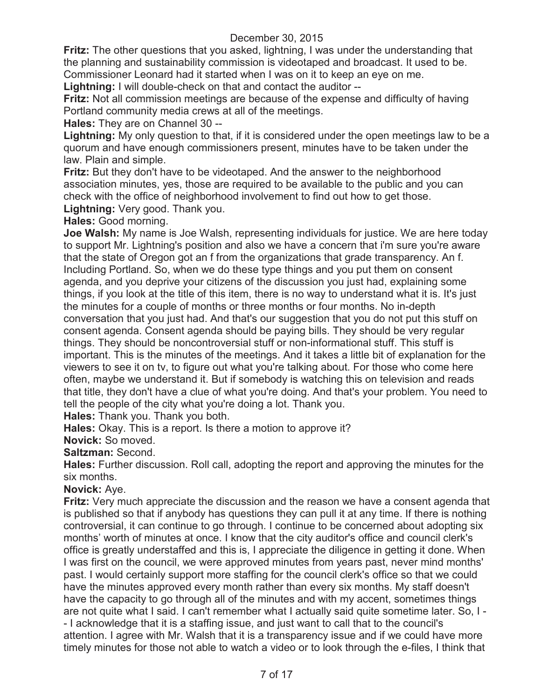**Fritz:** The other questions that you asked, lightning, I was under the understanding that the planning and sustainability commission is videotaped and broadcast. It used to be. Commissioner Leonard had it started when I was on it to keep an eye on me.

**Lightning:** I will double-check on that and contact the auditor --

**Fritz:** Not all commission meetings are because of the expense and difficulty of having Portland community media crews at all of the meetings.

**Hales:** They are on Channel 30 --

**Lightning:** My only question to that, if it is considered under the open meetings law to be a quorum and have enough commissioners present, minutes have to be taken under the law. Plain and simple.

**Fritz:** But they don't have to be videotaped. And the answer to the neighborhood association minutes, yes, those are required to be available to the public and you can check with the office of neighborhood involvement to find out how to get those. **Lightning:** Very good. Thank you.

**Hales:** Good morning.

**Joe Walsh:** My name is Joe Walsh, representing individuals for justice. We are here today to support Mr. Lightning's position and also we have a concern that i'm sure you're aware that the state of Oregon got an f from the organizations that grade transparency. An f. Including Portland. So, when we do these type things and you put them on consent agenda, and you deprive your citizens of the discussion you just had, explaining some things, if you look at the title of this item, there is no way to understand what it is. It's just the minutes for a couple of months or three months or four months. No in-depth conversation that you just had. And that's our suggestion that you do not put this stuff on consent agenda. Consent agenda should be paying bills. They should be very regular things. They should be noncontroversial stuff or non-informational stuff. This stuff is important. This is the minutes of the meetings. And it takes a little bit of explanation for the viewers to see it on tv, to figure out what you're talking about. For those who come here often, maybe we understand it. But if somebody is watching this on television and reads that title, they don't have a clue of what you're doing. And that's your problem. You need to tell the people of the city what you're doing a lot. Thank you.

**Hales:** Thank you. Thank you both.

**Hales:** Okay. This is a report. Is there a motion to approve it?

**Novick:** So moved.

**Saltzman:** Second.

**Hales:** Further discussion. Roll call, adopting the report and approving the minutes for the six months.

### **Novick:** Aye.

**Fritz:** Very much appreciate the discussion and the reason we have a consent agenda that is published so that if anybody has questions they can pull it at any time. If there is nothing controversial, it can continue to go through. I continue to be concerned about adopting six months' worth of minutes at once. I know that the city auditor's office and council clerk's office is greatly understaffed and this is, I appreciate the diligence in getting it done. When I was first on the council, we were approved minutes from years past, never mind months' past. I would certainly support more staffing for the council clerk's office so that we could have the minutes approved every month rather than every six months. My staff doesn't have the capacity to go through all of the minutes and with my accent, sometimes things are not quite what I said. I can't remember what I actually said quite sometime later. So, I - - I acknowledge that it is a staffing issue, and just want to call that to the council's attention. I agree with Mr. Walsh that it is a transparency issue and if we could have more timely minutes for those not able to watch a video or to look through the e-files, I think that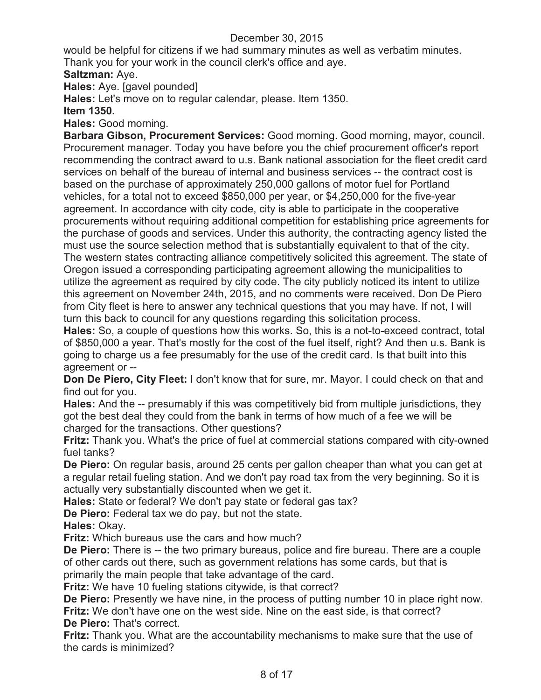would be helpful for citizens if we had summary minutes as well as verbatim minutes. Thank you for your work in the council clerk's office and aye.

## **Saltzman:** Aye.

**Hales:** Aye. [gavel pounded]

**Hales:** Let's move on to regular calendar, please. Item 1350.

**Item 1350.**

**Hales:** Good morning.

**Barbara Gibson, Procurement Services:** Good morning. Good morning, mayor, council. Procurement manager. Today you have before you the chief procurement officer's report recommending the contract award to u.s. Bank national association for the fleet credit card services on behalf of the bureau of internal and business services -- the contract cost is based on the purchase of approximately 250,000 gallons of motor fuel for Portland vehicles, for a total not to exceed \$850,000 per year, or \$4,250,000 for the five-year agreement. In accordance with city code, city is able to participate in the cooperative procurements without requiring additional competition for establishing price agreements for the purchase of goods and services. Under this authority, the contracting agency listed the must use the source selection method that is substantially equivalent to that of the city. The western states contracting alliance competitively solicited this agreement. The state of Oregon issued a corresponding participating agreement allowing the municipalities to utilize the agreement as required by city code. The city publicly noticed its intent to utilize this agreement on November 24th, 2015, and no comments were received. Don De Piero from City fleet is here to answer any technical questions that you may have. If not, I will turn this back to council for any questions regarding this solicitation process.

**Hales:** So, a couple of questions how this works. So, this is a not-to-exceed contract, total of \$850,000 a year. That's mostly for the cost of the fuel itself, right? And then u.s. Bank is going to charge us a fee presumably for the use of the credit card. Is that built into this agreement or --

**Don De Piero, City Fleet:** I don't know that for sure, mr. Mayor. I could check on that and find out for you.

**Hales:** And the -- presumably if this was competitively bid from multiple jurisdictions, they got the best deal they could from the bank in terms of how much of a fee we will be charged for the transactions. Other questions?

**Fritz:** Thank you. What's the price of fuel at commercial stations compared with city-owned fuel tanks?

**De Piero:** On regular basis, around 25 cents per gallon cheaper than what you can get at a regular retail fueling station. And we don't pay road tax from the very beginning. So it is actually very substantially discounted when we get it.

**Hales:** State or federal? We don't pay state or federal gas tax?

**De Piero:** Federal tax we do pay, but not the state.

**Hales:** Okay.

**Fritz:** Which bureaus use the cars and how much?

**De Piero:** There is -- the two primary bureaus, police and fire bureau. There are a couple of other cards out there, such as government relations has some cards, but that is primarily the main people that take advantage of the card.

**Fritz:** We have 10 fueling stations citywide, is that correct?

**De Piero:** Presently we have nine, in the process of putting number 10 in place right now. **Fritz:** We don't have one on the west side. Nine on the east side, is that correct? **De Piero:** That's correct.

**Fritz:** Thank you. What are the accountability mechanisms to make sure that the use of the cards is minimized?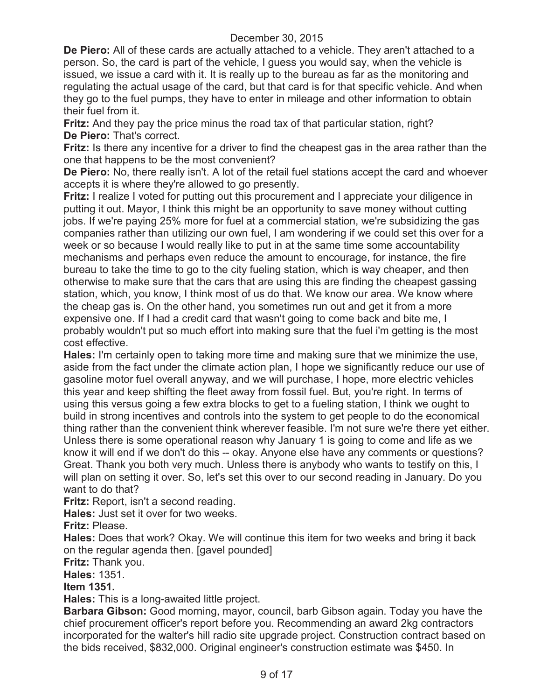**De Piero:** All of these cards are actually attached to a vehicle. They aren't attached to a person. So, the card is part of the vehicle, I guess you would say, when the vehicle is issued, we issue a card with it. It is really up to the bureau as far as the monitoring and regulating the actual usage of the card, but that card is for that specific vehicle. And when they go to the fuel pumps, they have to enter in mileage and other information to obtain their fuel from it.

**Fritz:** And they pay the price minus the road tax of that particular station, right? **De Piero:** That's correct.

**Fritz:** Is there any incentive for a driver to find the cheapest gas in the area rather than the one that happens to be the most convenient?

**De Piero:** No, there really isn't. A lot of the retail fuel stations accept the card and whoever accepts it is where they're allowed to go presently.

**Fritz:** I realize I voted for putting out this procurement and I appreciate your diligence in putting it out. Mayor, I think this might be an opportunity to save money without cutting jobs. If we're paying 25% more for fuel at a commercial station, we're subsidizing the gas companies rather than utilizing our own fuel, I am wondering if we could set this over for a week or so because I would really like to put in at the same time some accountability mechanisms and perhaps even reduce the amount to encourage, for instance, the fire bureau to take the time to go to the city fueling station, which is way cheaper, and then otherwise to make sure that the cars that are using this are finding the cheapest gassing station, which, you know, I think most of us do that. We know our area. We know where the cheap gas is. On the other hand, you sometimes run out and get it from a more expensive one. If I had a credit card that wasn't going to come back and bite me, I probably wouldn't put so much effort into making sure that the fuel i'm getting is the most cost effective.

**Hales:** I'm certainly open to taking more time and making sure that we minimize the use, aside from the fact under the climate action plan, I hope we significantly reduce our use of gasoline motor fuel overall anyway, and we will purchase, I hope, more electric vehicles this year and keep shifting the fleet away from fossil fuel. But, you're right. In terms of using this versus going a few extra blocks to get to a fueling station, I think we ought to build in strong incentives and controls into the system to get people to do the economical thing rather than the convenient think wherever feasible. I'm not sure we're there yet either. Unless there is some operational reason why January 1 is going to come and life as we know it will end if we don't do this -- okay. Anyone else have any comments or questions? Great. Thank you both very much. Unless there is anybody who wants to testify on this, I will plan on setting it over. So, let's set this over to our second reading in January. Do you want to do that?

**Fritz:** Report, isn't a second reading.

**Hales:** Just set it over for two weeks.

**Fritz:** Please.

**Hales:** Does that work? Okay. We will continue this item for two weeks and bring it back on the regular agenda then. [gavel pounded]

**Fritz:** Thank you.

**Hales:** 1351.

**Item 1351.**

**Hales:** This is a long-awaited little project.

**Barbara Gibson:** Good morning, mayor, council, barb Gibson again. Today you have the chief procurement officer's report before you. Recommending an award 2kg contractors incorporated for the walter's hill radio site upgrade project. Construction contract based on the bids received, \$832,000. Original engineer's construction estimate was \$450. In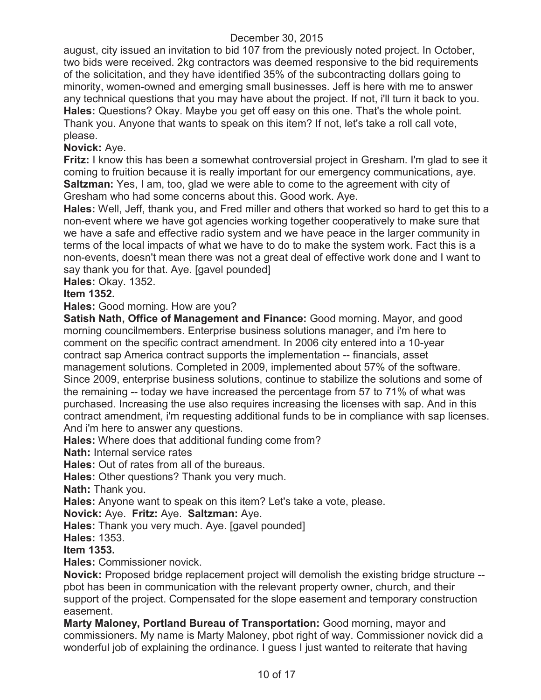august, city issued an invitation to bid 107 from the previously noted project. In October, two bids were received. 2kg contractors was deemed responsive to the bid requirements of the solicitation, and they have identified 35% of the subcontracting dollars going to minority, women-owned and emerging small businesses. Jeff is here with me to answer any technical questions that you may have about the project. If not, i'll turn it back to you. **Hales:** Questions? Okay. Maybe you get off easy on this one. That's the whole point. Thank you. Anyone that wants to speak on this item? If not, let's take a roll call vote, please.

### **Novick:** Aye.

**Fritz:** I know this has been a somewhat controversial project in Gresham. I'm glad to see it coming to fruition because it is really important for our emergency communications, aye. **Saltzman:** Yes, I am, too, glad we were able to come to the agreement with city of Gresham who had some concerns about this. Good work. Aye.

**Hales:** Well, Jeff, thank you, and Fred miller and others that worked so hard to get this to a non-event where we have got agencies working together cooperatively to make sure that we have a safe and effective radio system and we have peace in the larger community in terms of the local impacts of what we have to do to make the system work. Fact this is a non-events, doesn't mean there was not a great deal of effective work done and I want to say thank you for that. Aye. [gavel pounded]

**Hales:** Okay. 1352.

### **Item 1352.**

**Hales:** Good morning. How are you?

**Satish Nath, Office of Management and Finance:** Good morning. Mayor, and good morning councilmembers. Enterprise business solutions manager, and i'm here to comment on the specific contract amendment. In 2006 city entered into a 10-year contract sap America contract supports the implementation -- financials, asset management solutions. Completed in 2009, implemented about 57% of the software. Since 2009, enterprise business solutions, continue to stabilize the solutions and some of the remaining -- today we have increased the percentage from 57 to 71% of what was purchased. Increasing the use also requires increasing the licenses with sap. And in this contract amendment, i'm requesting additional funds to be in compliance with sap licenses. And i'm here to answer any questions.

**Hales:** Where does that additional funding come from?

**Nath:** Internal service rates

**Hales:** Out of rates from all of the bureaus.

**Hales:** Other questions? Thank you very much.

**Nath:** Thank you.

**Hales:** Anyone want to speak on this item? Let's take a vote, please.

**Novick:** Aye. **Fritz:** Aye. **Saltzman:** Aye.

**Hales:** Thank you very much. Aye. [gavel pounded]

**Hales:** 1353.

**Item 1353.**

**Hales:** Commissioner novick.

**Novick:** Proposed bridge replacement project will demolish the existing bridge structure - pbot has been in communication with the relevant property owner, church, and their support of the project. Compensated for the slope easement and temporary construction easement.

**Marty Maloney, Portland Bureau of Transportation:** Good morning, mayor and commissioners. My name is Marty Maloney, pbot right of way. Commissioner novick did a wonderful job of explaining the ordinance. I guess I just wanted to reiterate that having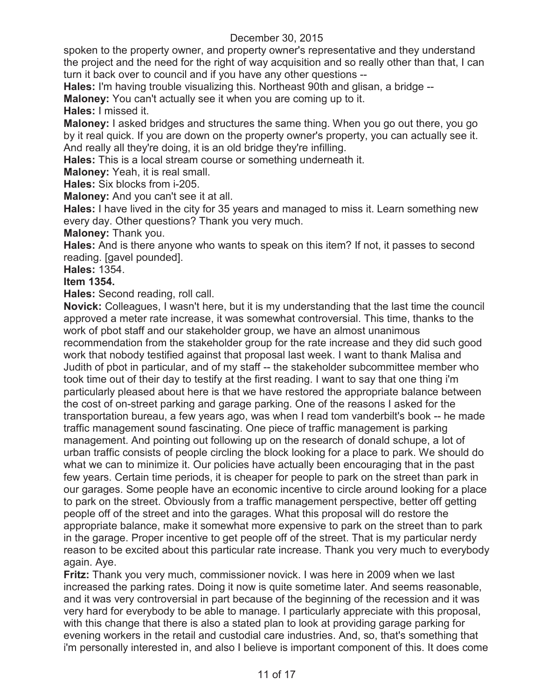spoken to the property owner, and property owner's representative and they understand the project and the need for the right of way acquisition and so really other than that, I can turn it back over to council and if you have any other questions --

**Hales:** I'm having trouble visualizing this. Northeast 90th and glisan, a bridge --

**Maloney:** You can't actually see it when you are coming up to it.

**Hales:** I missed it.

**Maloney:** I asked bridges and structures the same thing. When you go out there, you go by it real quick. If you are down on the property owner's property, you can actually see it. And really all they're doing, it is an old bridge they're infilling.

**Hales:** This is a local stream course or something underneath it.

**Maloney:** Yeah, it is real small.

**Hales:** Six blocks from i-205.

**Maloney:** And you can't see it at all.

**Hales:** I have lived in the city for 35 years and managed to miss it. Learn something new every day. Other questions? Thank you very much.

**Maloney:** Thank you.

**Hales:** And is there anyone who wants to speak on this item? If not, it passes to second reading. [gavel pounded].

**Hales:** 1354.

### **Item 1354.**

**Hales:** Second reading, roll call.

**Novick:** Colleagues, I wasn't here, but it is my understanding that the last time the council approved a meter rate increase, it was somewhat controversial. This time, thanks to the work of pbot staff and our stakeholder group, we have an almost unanimous recommendation from the stakeholder group for the rate increase and they did such good work that nobody testified against that proposal last week. I want to thank Malisa and Judith of pbot in particular, and of my staff -- the stakeholder subcommittee member who took time out of their day to testify at the first reading. I want to say that one thing i'm particularly pleased about here is that we have restored the appropriate balance between the cost of on-street parking and garage parking. One of the reasons I asked for the transportation bureau, a few years ago, was when I read tom vanderbilt's book -- he made traffic management sound fascinating. One piece of traffic management is parking management. And pointing out following up on the research of donald schupe, a lot of urban traffic consists of people circling the block looking for a place to park. We should do what we can to minimize it. Our policies have actually been encouraging that in the past few years. Certain time periods, it is cheaper for people to park on the street than park in our garages. Some people have an economic incentive to circle around looking for a place to park on the street. Obviously from a traffic management perspective, better off getting people off of the street and into the garages. What this proposal will do restore the appropriate balance, make it somewhat more expensive to park on the street than to park in the garage. Proper incentive to get people off of the street. That is my particular nerdy reason to be excited about this particular rate increase. Thank you very much to everybody again. Aye.

**Fritz:** Thank you very much, commissioner novick. I was here in 2009 when we last increased the parking rates. Doing it now is quite sometime later. And seems reasonable, and it was very controversial in part because of the beginning of the recession and it was very hard for everybody to be able to manage. I particularly appreciate with this proposal, with this change that there is also a stated plan to look at providing garage parking for evening workers in the retail and custodial care industries. And, so, that's something that i'm personally interested in, and also I believe is important component of this. It does come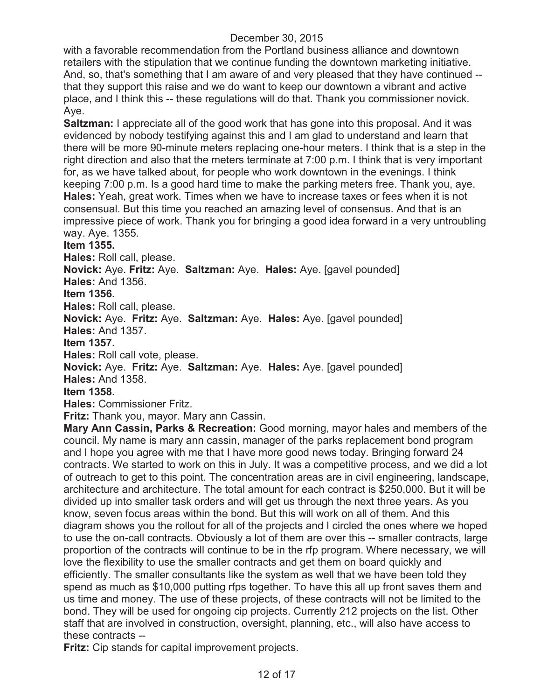with a favorable recommendation from the Portland business alliance and downtown retailers with the stipulation that we continue funding the downtown marketing initiative. And, so, that's something that I am aware of and very pleased that they have continued - that they support this raise and we do want to keep our downtown a vibrant and active place, and I think this -- these regulations will do that. Thank you commissioner novick. Aye.

**Saltzman:** I appreciate all of the good work that has gone into this proposal. And it was evidenced by nobody testifying against this and I am glad to understand and learn that there will be more 90-minute meters replacing one-hour meters. I think that is a step in the right direction and also that the meters terminate at 7:00 p.m. I think that is very important for, as we have talked about, for people who work downtown in the evenings. I think keeping 7:00 p.m. Is a good hard time to make the parking meters free. Thank you, aye. **Hales:** Yeah, great work. Times when we have to increase taxes or fees when it is not consensual. But this time you reached an amazing level of consensus. And that is an impressive piece of work. Thank you for bringing a good idea forward in a very untroubling way. Aye. 1355.

### **Item 1355.**

**Hales:** Roll call, please.

**Novick:** Aye. **Fritz:** Aye. **Saltzman:** Aye. **Hales:** Aye. [gavel pounded]

**Hales:** And 1356.

**Item 1356.**

**Hales:** Roll call, please.

**Novick:** Aye. **Fritz:** Aye. **Saltzman:** Aye. **Hales:** Aye. [gavel pounded]

**Hales:** And 1357.

**Item 1357.**

**Hales:** Roll call vote, please.

**Novick:** Aye. **Fritz:** Aye. **Saltzman:** Aye. **Hales:** Aye. [gavel pounded]

**Hales:** And 1358.

### **Item 1358.**

**Hales:** Commissioner Fritz.

**Fritz:** Thank you, mayor. Mary ann Cassin.

**Mary Ann Cassin, Parks & Recreation:** Good morning, mayor hales and members of the council. My name is mary ann cassin, manager of the parks replacement bond program and I hope you agree with me that I have more good news today. Bringing forward 24 contracts. We started to work on this in July. It was a competitive process, and we did a lot of outreach to get to this point. The concentration areas are in civil engineering, landscape, architecture and architecture. The total amount for each contract is \$250,000. But it will be divided up into smaller task orders and will get us through the next three years. As you know, seven focus areas within the bond. But this will work on all of them. And this diagram shows you the rollout for all of the projects and I circled the ones where we hoped to use the on-call contracts. Obviously a lot of them are over this -- smaller contracts, large proportion of the contracts will continue to be in the rfp program. Where necessary, we will love the flexibility to use the smaller contracts and get them on board quickly and efficiently. The smaller consultants like the system as well that we have been told they spend as much as \$10,000 putting rfps together. To have this all up front saves them and us time and money. The use of these projects, of these contracts will not be limited to the bond. They will be used for ongoing cip projects. Currently 212 projects on the list. Other staff that are involved in construction, oversight, planning, etc., will also have access to these contracts --

**Fritz:** Cip stands for capital improvement projects.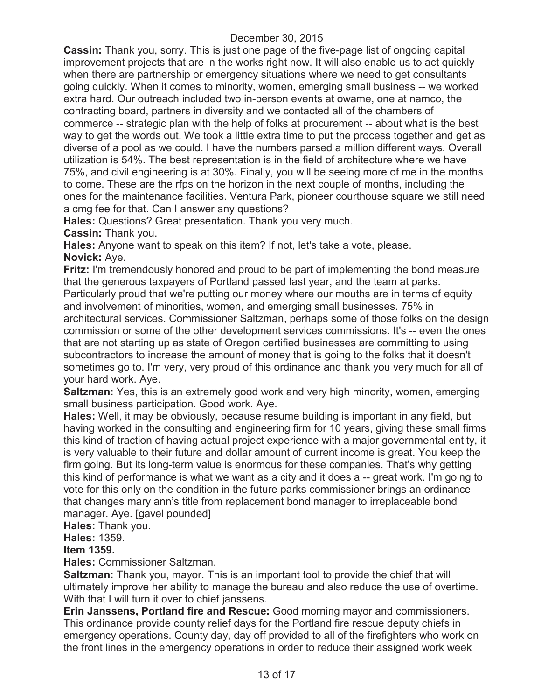**Cassin:** Thank you, sorry. This is just one page of the five-page list of ongoing capital improvement projects that are in the works right now. It will also enable us to act quickly when there are partnership or emergency situations where we need to get consultants going quickly. When it comes to minority, women, emerging small business -- we worked extra hard. Our outreach included two in-person events at owame, one at namco, the contracting board, partners in diversity and we contacted all of the chambers of commerce -- strategic plan with the help of folks at procurement -- about what is the best way to get the words out. We took a little extra time to put the process together and get as diverse of a pool as we could. I have the numbers parsed a million different ways. Overall utilization is 54%. The best representation is in the field of architecture where we have 75%, and civil engineering is at 30%. Finally, you will be seeing more of me in the months to come. These are the rfps on the horizon in the next couple of months, including the ones for the maintenance facilities. Ventura Park, pioneer courthouse square we still need a cmg fee for that. Can I answer any questions?

**Hales:** Questions? Great presentation. Thank you very much.

**Cassin:** Thank you.

**Hales:** Anyone want to speak on this item? If not, let's take a vote, please. **Novick:** Aye.

**Fritz:** I'm tremendously honored and proud to be part of implementing the bond measure that the generous taxpayers of Portland passed last year, and the team at parks. Particularly proud that we're putting our money where our mouths are in terms of equity and involvement of minorities, women, and emerging small businesses. 75% in architectural services. Commissioner Saltzman, perhaps some of those folks on the design commission or some of the other development services commissions. It's -- even the ones that are not starting up as state of Oregon certified businesses are committing to using subcontractors to increase the amount of money that is going to the folks that it doesn't sometimes go to. I'm very, very proud of this ordinance and thank you very much for all of your hard work. Aye.

**Saltzman:** Yes, this is an extremely good work and very high minority, women, emerging small business participation. Good work. Aye.

**Hales:** Well, it may be obviously, because resume building is important in any field, but having worked in the consulting and engineering firm for 10 years, giving these small firms this kind of traction of having actual project experience with a major governmental entity, it is very valuable to their future and dollar amount of current income is great. You keep the firm going. But its long-term value is enormous for these companies. That's why getting this kind of performance is what we want as a city and it does a -- great work. I'm going to vote for this only on the condition in the future parks commissioner brings an ordinance that changes mary ann's title from replacement bond manager to irreplaceable bond manager. Aye. [gavel pounded]

**Hales:** Thank you.

**Hales:** 1359.

### **Item 1359.**

**Hales:** Commissioner Saltzman.

**Saltzman:** Thank you, mayor. This is an important tool to provide the chief that will ultimately improve her ability to manage the bureau and also reduce the use of overtime. With that I will turn it over to chief janssens.

**Erin Janssens, Portland fire and Rescue:** Good morning mayor and commissioners. This ordinance provide county relief days for the Portland fire rescue deputy chiefs in emergency operations. County day, day off provided to all of the firefighters who work on the front lines in the emergency operations in order to reduce their assigned work week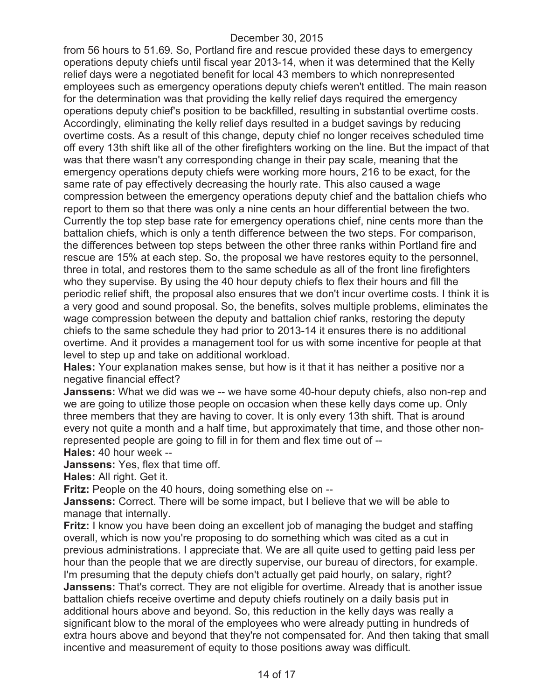from 56 hours to 51.69. So, Portland fire and rescue provided these days to emergency operations deputy chiefs until fiscal year 2013-14, when it was determined that the Kelly relief days were a negotiated benefit for local 43 members to which nonrepresented employees such as emergency operations deputy chiefs weren't entitled. The main reason for the determination was that providing the kelly relief days required the emergency operations deputy chief's position to be backfilled, resulting in substantial overtime costs. Accordingly, eliminating the kelly relief days resulted in a budget savings by reducing overtime costs. As a result of this change, deputy chief no longer receives scheduled time off every 13th shift like all of the other firefighters working on the line. But the impact of that was that there wasn't any corresponding change in their pay scale, meaning that the emergency operations deputy chiefs were working more hours, 216 to be exact, for the same rate of pay effectively decreasing the hourly rate. This also caused a wage compression between the emergency operations deputy chief and the battalion chiefs who report to them so that there was only a nine cents an hour differential between the two. Currently the top step base rate for emergency operations chief, nine cents more than the battalion chiefs, which is only a tenth difference between the two steps. For comparison, the differences between top steps between the other three ranks within Portland fire and rescue are 15% at each step. So, the proposal we have restores equity to the personnel, three in total, and restores them to the same schedule as all of the front line firefighters who they supervise. By using the 40 hour deputy chiefs to flex their hours and fill the periodic relief shift, the proposal also ensures that we don't incur overtime costs. I think it is a very good and sound proposal. So, the benefits, solves multiple problems, eliminates the wage compression between the deputy and battalion chief ranks, restoring the deputy chiefs to the same schedule they had prior to 2013-14 it ensures there is no additional overtime. And it provides a management tool for us with some incentive for people at that level to step up and take on additional workload.

**Hales:** Your explanation makes sense, but how is it that it has neither a positive nor a negative financial effect?

**Janssens:** What we did was we -- we have some 40-hour deputy chiefs, also non-rep and we are going to utilize those people on occasion when these kelly days come up. Only three members that they are having to cover. It is only every 13th shift. That is around every not quite a month and a half time, but approximately that time, and those other nonrepresented people are going to fill in for them and flex time out of -- **Hales:** 40 hour week --

**Janssens:** Yes, flex that time off.

**Hales:** All right. Get it.

**Fritz:** People on the 40 hours, doing something else on --

**Janssens:** Correct. There will be some impact, but I believe that we will be able to manage that internally.

**Fritz:** I know you have been doing an excellent job of managing the budget and staffing overall, which is now you're proposing to do something which was cited as a cut in previous administrations. I appreciate that. We are all quite used to getting paid less per hour than the people that we are directly supervise, our bureau of directors, for example. I'm presuming that the deputy chiefs don't actually get paid hourly, on salary, right? **Janssens:** That's correct. They are not eligible for overtime. Already that is another issue battalion chiefs receive overtime and deputy chiefs routinely on a daily basis put in additional hours above and beyond. So, this reduction in the kelly days was really a significant blow to the moral of the employees who were already putting in hundreds of extra hours above and beyond that they're not compensated for. And then taking that small incentive and measurement of equity to those positions away was difficult.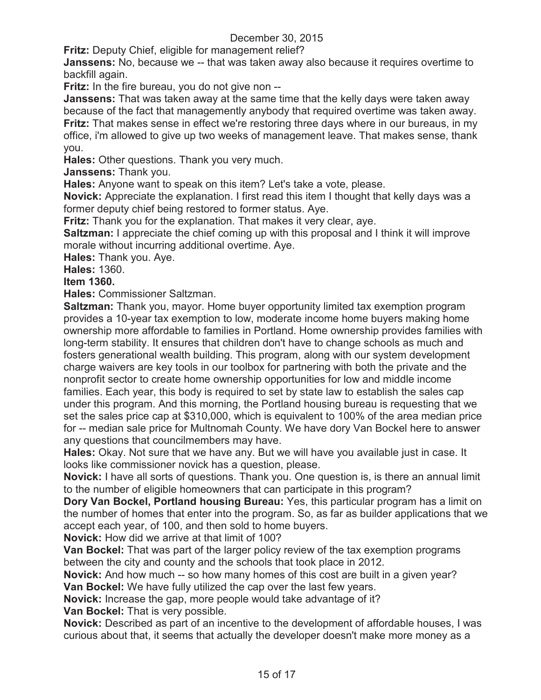**Fritz:** Deputy Chief, eligible for management relief?

**Janssens:** No, because we -- that was taken away also because it requires overtime to backfill again.

**Fritz:** In the fire bureau, you do not give non --

**Janssens:** That was taken away at the same time that the kelly days were taken away because of the fact that managemently anybody that required overtime was taken away.

**Fritz:** That makes sense in effect we're restoring three days where in our bureaus, in my office, i'm allowed to give up two weeks of management leave. That makes sense, thank you.

**Hales:** Other questions. Thank you very much.

**Janssens:** Thank you.

**Hales:** Anyone want to speak on this item? Let's take a vote, please.

**Novick:** Appreciate the explanation. I first read this item I thought that kelly days was a former deputy chief being restored to former status. Aye.

**Fritz:** Thank you for the explanation. That makes it very clear, aye.

**Saltzman:** I appreciate the chief coming up with this proposal and I think it will improve morale without incurring additional overtime. Aye.

**Hales:** Thank you. Aye.

**Hales:** 1360.

**Item 1360.**

**Hales:** Commissioner Saltzman.

**Saltzman:** Thank you, mayor. Home buyer opportunity limited tax exemption program provides a 10-year tax exemption to low, moderate income home buyers making home ownership more affordable to families in Portland. Home ownership provides families with long-term stability. It ensures that children don't have to change schools as much and fosters generational wealth building. This program, along with our system development charge waivers are key tools in our toolbox for partnering with both the private and the nonprofit sector to create home ownership opportunities for low and middle income families. Each year, this body is required to set by state law to establish the sales cap under this program. And this morning, the Portland housing bureau is requesting that we set the sales price cap at \$310,000, which is equivalent to 100% of the area median price for -- median sale price for Multnomah County. We have dory Van Bockel here to answer any questions that councilmembers may have.

**Hales:** Okay. Not sure that we have any. But we will have you available just in case. It looks like commissioner novick has a question, please.

**Novick:** I have all sorts of questions. Thank you. One question is, is there an annual limit to the number of eligible homeowners that can participate in this program?

**Dory Van Bockel, Portland housing Bureau:** Yes, this particular program has a limit on the number of homes that enter into the program. So, as far as builder applications that we accept each year, of 100, and then sold to home buyers.

**Novick:** How did we arrive at that limit of 100?

**Van Bockel:** That was part of the larger policy review of the tax exemption programs between the city and county and the schools that took place in 2012.

**Novick:** And how much -- so how many homes of this cost are built in a given year? **Van Bockel:** We have fully utilized the cap over the last few years.

**Novick:** Increase the gap, more people would take advantage of it?

**Van Bockel:** That is very possible.

**Novick:** Described as part of an incentive to the development of affordable houses, I was curious about that, it seems that actually the developer doesn't make more money as a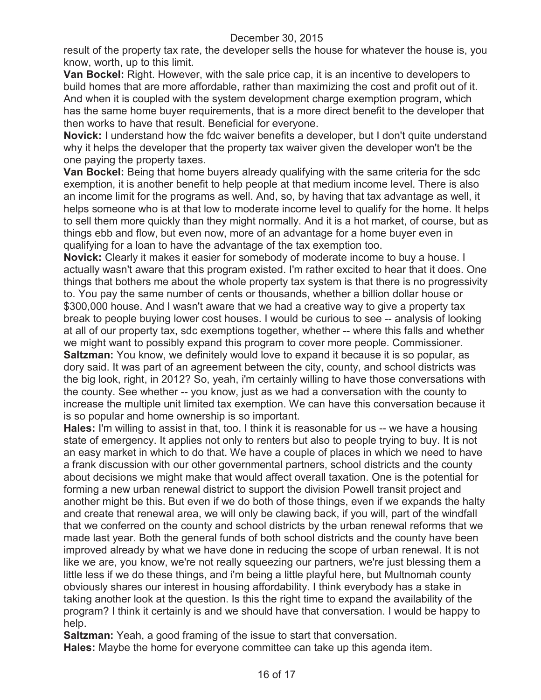result of the property tax rate, the developer sells the house for whatever the house is, you know, worth, up to this limit.

**Van Bockel:** Right. However, with the sale price cap, it is an incentive to developers to build homes that are more affordable, rather than maximizing the cost and profit out of it. And when it is coupled with the system development charge exemption program, which has the same home buyer requirements, that is a more direct benefit to the developer that then works to have that result. Beneficial for everyone.

**Novick:** I understand how the fdc waiver benefits a developer, but I don't quite understand why it helps the developer that the property tax waiver given the developer won't be the one paying the property taxes.

**Van Bockel:** Being that home buyers already qualifying with the same criteria for the sdc exemption, it is another benefit to help people at that medium income level. There is also an income limit for the programs as well. And, so, by having that tax advantage as well, it helps someone who is at that low to moderate income level to qualify for the home. It helps to sell them more quickly than they might normally. And it is a hot market, of course, but as things ebb and flow, but even now, more of an advantage for a home buyer even in qualifying for a loan to have the advantage of the tax exemption too.

**Novick:** Clearly it makes it easier for somebody of moderate income to buy a house. I actually wasn't aware that this program existed. I'm rather excited to hear that it does. One things that bothers me about the whole property tax system is that there is no progressivity to. You pay the same number of cents or thousands, whether a billion dollar house or \$300,000 house. And I wasn't aware that we had a creative way to give a property tax break to people buying lower cost houses. I would be curious to see -- analysis of looking at all of our property tax, sdc exemptions together, whether -- where this falls and whether we might want to possibly expand this program to cover more people. Commissioner.

**Saltzman:** You know, we definitely would love to expand it because it is so popular, as dory said. It was part of an agreement between the city, county, and school districts was the big look, right, in 2012? So, yeah, i'm certainly willing to have those conversations with the county. See whether -- you know, just as we had a conversation with the county to increase the multiple unit limited tax exemption. We can have this conversation because it is so popular and home ownership is so important.

**Hales:** I'm willing to assist in that, too. I think it is reasonable for us -- we have a housing state of emergency. It applies not only to renters but also to people trying to buy. It is not an easy market in which to do that. We have a couple of places in which we need to have a frank discussion with our other governmental partners, school districts and the county about decisions we might make that would affect overall taxation. One is the potential for forming a new urban renewal district to support the division Powell transit project and another might be this. But even if we do both of those things, even if we expands the halty and create that renewal area, we will only be clawing back, if you will, part of the windfall that we conferred on the county and school districts by the urban renewal reforms that we made last year. Both the general funds of both school districts and the county have been improved already by what we have done in reducing the scope of urban renewal. It is not like we are, you know, we're not really squeezing our partners, we're just blessing them a little less if we do these things, and i'm being a little playful here, but Multnomah county obviously shares our interest in housing affordability. I think everybody has a stake in taking another look at the question. Is this the right time to expand the availability of the program? I think it certainly is and we should have that conversation. I would be happy to help.

**Saltzman:** Yeah, a good framing of the issue to start that conversation.

**Hales:** Maybe the home for everyone committee can take up this agenda item.